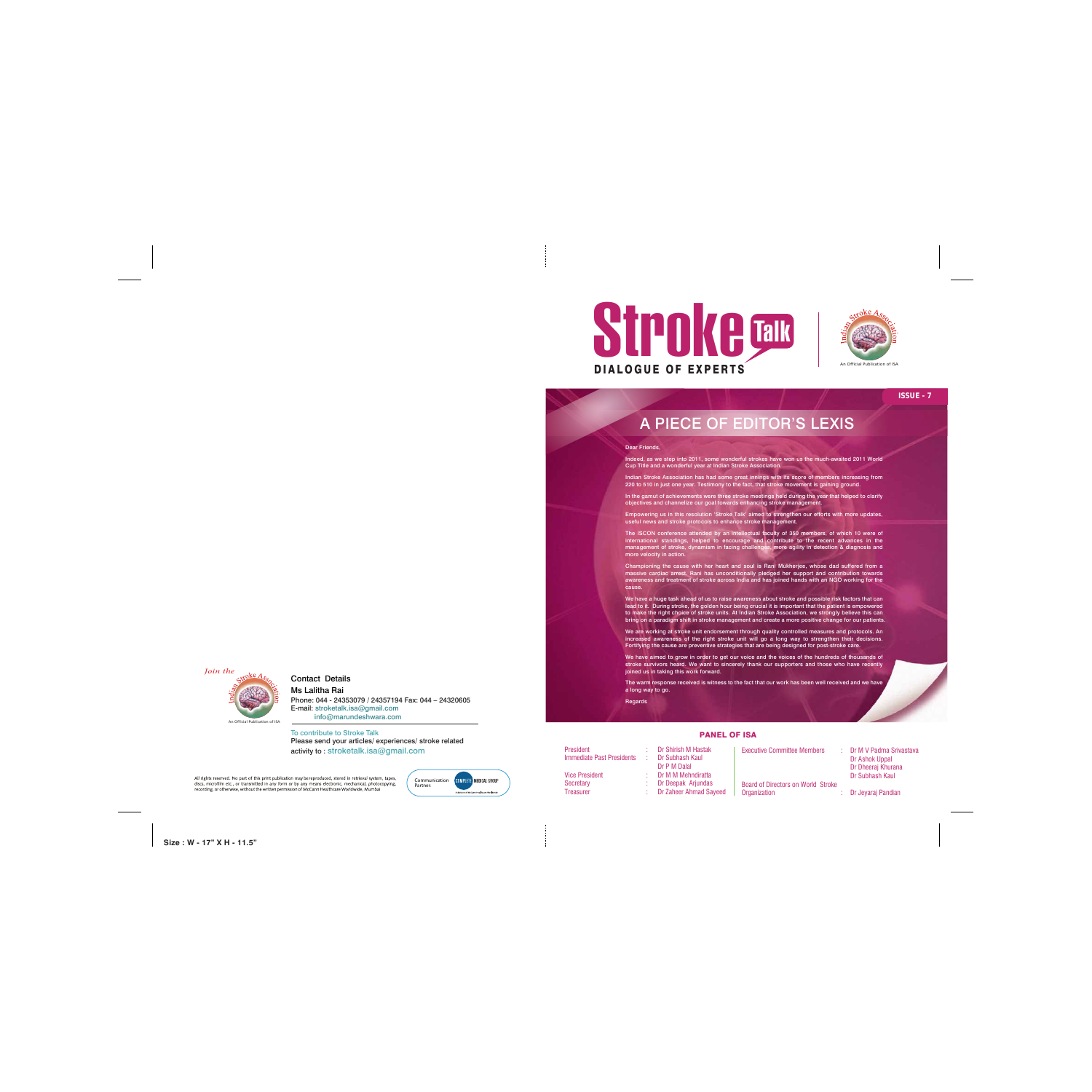

**Size : W - 17" X H - 11.5"**



To contribute to Stroke Talk Please send your articles/ experiences/ stroke related activity to : stroketalk.isa@gmail.com

All rights reserved. No part of this print publication may be reproduced, stored in retrieval system, tapes, discs, microfilm etc., or transmitted in any form or by any means electronic, mechanical, photocopying, recording, or otherwise, without the written permission of McCann Healthcare Worldwide, Mumbai

## Contact Details

Ms Lalitha Rai

Phone: 044 - 24353079 / 24357194 Fax: 044 – 24320605 E-mail: stroketalk.isa@gmail.com info@marundeshwara.com

An Official Publication of ISA

An Official Publication of ISA



#### PANEL OF ISA

Executive Committee Members : Dr M V Padma Srivastava

President : Dr Shirish M Hastak Immediate Past Presidents : Dr Subhash Kaul Dr P M Dalal Vice President : Dr M M Mehndiratta Secretary : Dr Deepak Arjundas Treasurer : Dr Zaheer Ahmad Sayeed

 Dr Ashok Uppal Dr Dheeraj Khurana Dr Subhash Kaul

Board of Directors on World Stroke Organization : Dr Jeyaraj Pandian

Indeed, as we step into 2011, some wonderful strokes have won us the much-awaited 2011 World This issue talks about the Role and Goal of the Indian Stroke Association. Cup Title and a wonderful year at Indian Stroke Association.

Indian Stroke Association has had some great innings with its score of members increasing from 220 to 510 in just one year. Testimony to the fact, that stroke movement is gaining ground.

In the gamut of achievements were three stroke meetings held during the year that helped to clarify objectives and channelize our goal towards enhancing stroke management.

Empowering us in this resolution 'Stroke Talk' aimed to strengthen our efforts with more updates, We feel from our heart about matters of the brain. No wonder, our practice useful news and stroke protocols to enhance stroke management.

experiences well actions and voicing of opinions is what makes our contractions is what makes our opinions is what makes our contractions is what makes our contractions is what makes our contract our contract our contract

The ISCON conference attended by an intellectual faculty of 350 members, of which 10 were of management of stroke, dynamism in facing challenges, more agility in detection & diagnosis and international standings, helped to encourage and contribute to the recent advances in the

Championing the cause with her heart and soul is Rani Mukherjee, whose dad suffered from a massive cardiac arrest. Rani has unconditionally pledged her support and contribution towards awareness and treatment of stroke across India and has joined hands with an NGO working for the cause.

.<br>We have a huge task ahead of us to raise awareness about stroke and possible risk factors that can lead to it. During stroke, the golden hour being crucial it is important that the patient is empowered to make the right choice of stroke units. At Indian Stroke Association, we strongly believe this can<br>. bring on a paradigm shift in stroke management and create a more positive change for our patients.<br>.

Fortifying the cause are preventive strategies that are being designed for post-stroke care. We are working at stroke unit endorsement through quality controlled measures and protocols. An increased awareness of the right stroke unit will go a long way to strengthen their decisions.

We have aimed to grow in order to get our voice and the voices of the hundreds of thousands of stroke survivors heard. We want to sincerely thank our supporters and those who have recently joined us in taking this work forward.

 *Join the*

#### Dear Friends,

The warm response received is witness to the fact that our work has been well received and we have

a long way to go.

**Regards** 

# A PIECE OF EDITOR'S LEXIS

### **ISSUE - 7**